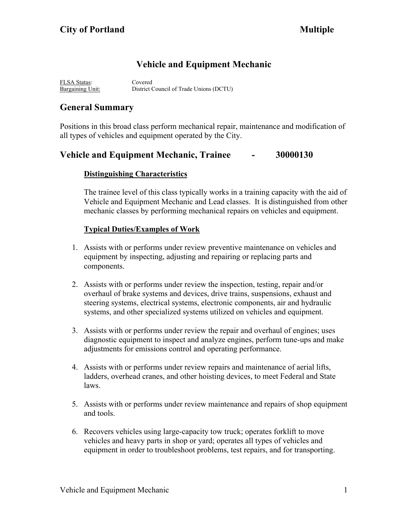# **Vehicle and Equipment Mechanic**

FLSA Status: Covered Bargaining Unit: District Council of Trade Unions (DCTU)

# **General Summary**

Positions in this broad class perform mechanical repair, maintenance and modification of all types of vehicles and equipment operated by the City.

## **Vehicle and Equipment Mechanic, Trainee - 30000130**

### **Distinguishing Characteristics**

The trainee level of this class typically works in a training capacity with the aid of Vehicle and Equipment Mechanic and Lead classes. It is distinguished from other mechanic classes by performing mechanical repairs on vehicles and equipment.

### **Typical Duties/Examples of Work**

- 1. Assists with or performs under review preventive maintenance on vehicles and equipment by inspecting, adjusting and repairing or replacing parts and components.
- 2. Assists with or performs under review the inspection, testing, repair and/or overhaul of brake systems and devices, drive trains, suspensions, exhaust and steering systems, electrical systems, electronic components, air and hydraulic systems, and other specialized systems utilized on vehicles and equipment.
- 3. Assists with or performs under review the repair and overhaul of engines; uses diagnostic equipment to inspect and analyze engines, perform tune-ups and make adjustments for emissions control and operating performance.
- 4. Assists with or performs under review repairs and maintenance of aerial lifts, ladders, overhead cranes, and other hoisting devices, to meet Federal and State laws.
- 5. Assists with or performs under review maintenance and repairs of shop equipment and tools.
- 6. Recovers vehicles using large-capacity tow truck; operates forklift to move vehicles and heavy parts in shop or yard; operates all types of vehicles and equipment in order to troubleshoot problems, test repairs, and for transporting.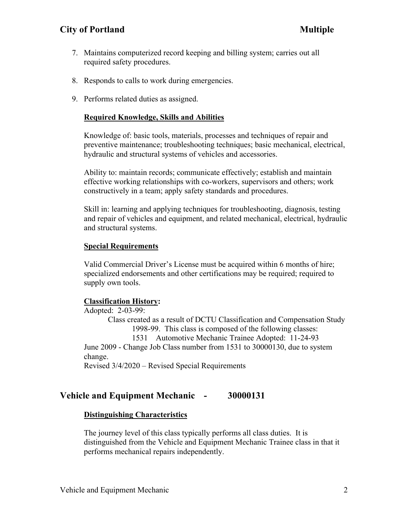### **City of Portland Multiple**

- 7. Maintains computerized record keeping and billing system; carries out all required safety procedures.
- 8. Responds to calls to work during emergencies.
- 9. Performs related duties as assigned.

#### **Required Knowledge, Skills and Abilities**

Knowledge of: basic tools, materials, processes and techniques of repair and preventive maintenance; troubleshooting techniques; basic mechanical, electrical, hydraulic and structural systems of vehicles and accessories.

Ability to: maintain records; communicate effectively; establish and maintain effective working relationships with co-workers, supervisors and others; work constructively in a team; apply safety standards and procedures.

Skill in: learning and applying techniques for troubleshooting, diagnosis, testing and repair of vehicles and equipment, and related mechanical, electrical, hydraulic and structural systems.

#### **Special Requirements**

Valid Commercial Driver's License must be acquired within 6 months of hire; specialized endorsements and other certifications may be required; required to supply own tools.

#### **Classification History:**

Adopted: 2-03-99: Class created as a result of DCTU Classification and Compensation Study 1998-99. This class is composed of the following classes: 1531 Automotive Mechanic Trainee Adopted: 11-24-93 June 2009 - Change Job Class number from 1531 to 30000130, due to system change. Revised 3/4/2020 – Revised Special Requirements

#### **Vehicle and Equipment Mechanic - 30000131**

#### **Distinguishing Characteristics**

The journey level of this class typically performs all class duties. It is distinguished from the Vehicle and Equipment Mechanic Trainee class in that it performs mechanical repairs independently.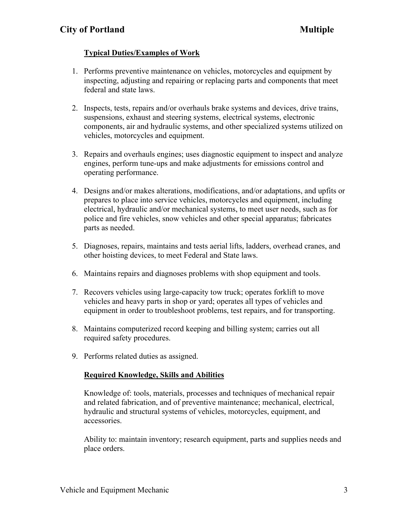### **Typical Duties/Examples of Work**

- 1. Performs preventive maintenance on vehicles, motorcycles and equipment by inspecting, adjusting and repairing or replacing parts and components that meet federal and state laws.
- 2. Inspects, tests, repairs and/or overhauls brake systems and devices, drive trains, suspensions, exhaust and steering systems, electrical systems, electronic components, air and hydraulic systems, and other specialized systems utilized on vehicles, motorcycles and equipment.
- 3. Repairs and overhauls engines; uses diagnostic equipment to inspect and analyze engines, perform tune-ups and make adjustments for emissions control and operating performance.
- 4. Designs and/or makes alterations, modifications, and/or adaptations, and upfits or prepares to place into service vehicles, motorcycles and equipment, including electrical, hydraulic and/or mechanical systems, to meet user needs, such as for police and fire vehicles, snow vehicles and other special apparatus; fabricates parts as needed.
- 5. Diagnoses, repairs, maintains and tests aerial lifts, ladders, overhead cranes, and other hoisting devices, to meet Federal and State laws.
- 6. Maintains repairs and diagnoses problems with shop equipment and tools.
- 7. Recovers vehicles using large-capacity tow truck; operates forklift to move vehicles and heavy parts in shop or yard; operates all types of vehicles and equipment in order to troubleshoot problems, test repairs, and for transporting.
- 8. Maintains computerized record keeping and billing system; carries out all required safety procedures.
- 9. Performs related duties as assigned.

### **Required Knowledge, Skills and Abilities**

Knowledge of: tools, materials, processes and techniques of mechanical repair and related fabrication, and of preventive maintenance; mechanical, electrical, hydraulic and structural systems of vehicles, motorcycles, equipment, and accessories.

Ability to: maintain inventory; research equipment, parts and supplies needs and place orders.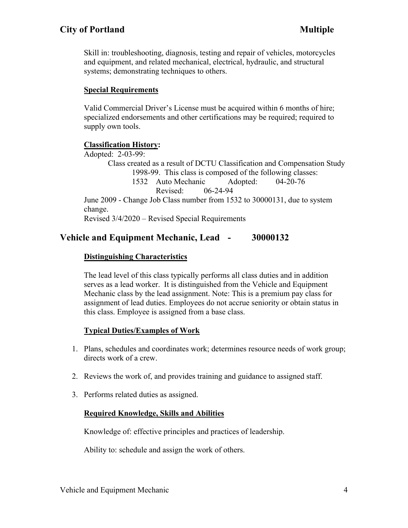## **City of Portland Multiple**

Skill in: troubleshooting, diagnosis, testing and repair of vehicles, motorcycles and equipment, and related mechanical, electrical, hydraulic, and structural systems; demonstrating techniques to others.

#### **Special Requirements**

Valid Commercial Driver's License must be acquired within 6 months of hire; specialized endorsements and other certifications may be required; required to supply own tools.

### **Classification History:**

Adopted: 2-03-99: Class created as a result of DCTU Classification and Compensation Study 1998-99. This class is composed of the following classes: 1532 Auto Mechanic Adopted: 04-20-76 Revised: 06-24-94 June 2009 - Change Job Class number from 1532 to 30000131, due to system change. Revised 3/4/2020 – Revised Special Requirements

## **Vehicle and Equipment Mechanic, Lead - 30000132**

### **Distinguishing Characteristics**

The lead level of this class typically performs all class duties and in addition serves as a lead worker. It is distinguished from the Vehicle and Equipment Mechanic class by the lead assignment. Note: This is a premium pay class for assignment of lead duties. Employees do not accrue seniority or obtain status in this class. Employee is assigned from a base class.

#### **Typical Duties/Examples of Work**

- 1. Plans, schedules and coordinates work; determines resource needs of work group; directs work of a crew.
- 2. Reviews the work of, and provides training and guidance to assigned staff.
- 3. Performs related duties as assigned.

#### **Required Knowledge, Skills and Abilities**

Knowledge of: effective principles and practices of leadership.

Ability to: schedule and assign the work of others.